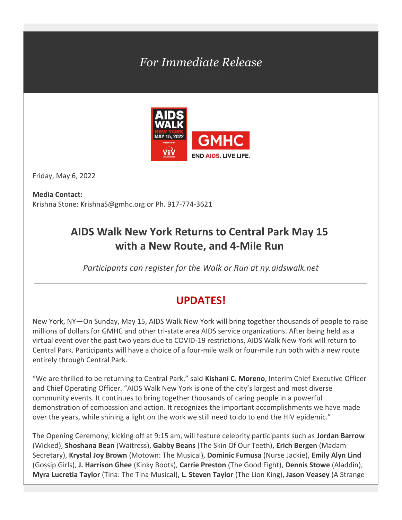# *For Immediate Release*



Friday, May 6, 2022

**Media Contact:** Krishna Stone: [KrishnaS@gmhc.org](mailto:KrishnaS@gmhc.org) or Ph. 917-774-3621

## **AIDS Walk New York Returns to Central Park May 15 with a New Route, and 4-Mile Run**

*Participants can register for the Walk or Run at ny.aidswalk.net*

### **UPDATES!**

New York, NY—On Sunday, May 15, AIDS Walk New York will bring together thousands of people to raise millions of dollars for GMHC and other tri-state area AIDS service organizations. After being held as a virtual event over the past two years due to COVID-19 restrictions, AIDS Walk New York will return to Central Park. Participants will have a choice of a four-mile walk or four-mile run both with a new route entirely through Central Park.

"We are thrilled to be returning to Central Park," said **Kishani C. Moreno**, Interim Chief Executive Officer and Chief Operating Officer. "AIDS Walk New York is one of the city's largest and most diverse community events. It continues to bring together thousands of caring people in a powerful demonstration of compassion and action. It recognizes the important accomplishments we have made over the years, while shining a light on the work we still need to do to end the HIV epidemic."

The Opening Ceremony, kicking off at 9:15 am, will feature celebrity participants such as **Jordan Barrow** (Wicked), **Shoshana Bean** (Waitress), **Gabby Beans** (The Skin Of Our Teeth), **Erich Bergen** (Madam Secretary), **Krystal Joy Brown** (Motown: The Musical), **Dominic Fumusa** (Nurse Jackie), **Emily Alyn Lind** (Gossip Girls), **J. Harrison Ghee** (Kinky Boots), **Carrie Preston** (The Good Fight), **Dennis Stowe** (Aladdin), **Myra Lucretia Taylor** (Tina: The Tina Musical), **L. Steven Taylor** (The Lion King), **Jason Veasey** (A Strange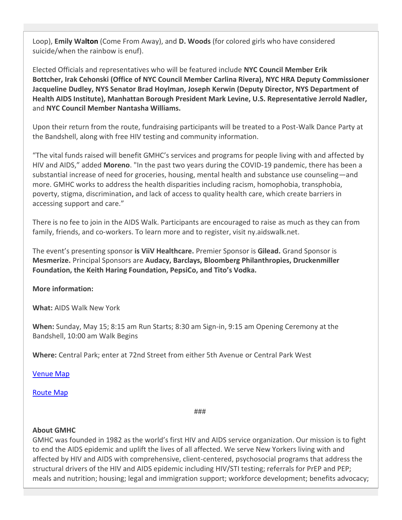Loop), **Emily Walton** (Come From Away), and **D. Woods** (for colored girls who have considered suicide/when the rainbow is enuf).

Elected Officials and representatives who will be featured include **NYC Council Member Erik Bottcher, Irak Cehonski (Office of NYC Council Member Carlina Rivera), NYC HRA Deputy Commissioner Jacqueline Dudley, NYS Senator Brad Hoylman, Joseph Kerwin (Deputy Director, NYS Department of Health AIDS Institute), Manhattan Borough President Mark Levine, U.S. Representative Jerrold Nadler,**  and **NYC Council Member Nantasha Williams.**

Upon their return from the route, fundraising participants will be treated to a Post-Walk Dance Party at the Bandshell, along with free HIV testing and community information.

"The vital funds raised will benefit GMHC's services and programs for people living with and affected by HIV and AIDS," added **Moreno**. "In the past two years during the COVID-19 pandemic, there has been a substantial increase of need for groceries, housing, mental health and substance use counseling—and more. GMHC works to address the health disparities including racism, homophobia, transphobia, poverty, stigma, discrimination, and lack of access to quality health care, which create barriers in accessing support and care."

There is no fee to join in the AIDS Walk. Participants are encouraged to raise as much as they can from family, friends, and co-workers. To learn more and to register, visit [ny.aidswalk.net.](https://nam10.safelinks.protection.outlook.com/?url=https%3A%2F%2Fny.aidswalk.net%2F&data=05%7C01%7Ckrishnas%40gmhc.org%7C108e84b124154d4c39c908da2f94add5%7C51720b5f3fff441eabc880380f4eadfc%7C0%7C0%7C637874612907630719%7CUnknown%7CTWFpbGZsb3d8eyJWIjoiMC4wLjAwMDAiLCJQIjoiV2luMzIiLCJBTiI6Ik1haWwiLCJXVCI6Mn0%3D%7C3000%7C%7C%7C&sdata=gac4Qrfs5rO2b3vnIgdjm6GkSOnS9BtQT406tsH%2BF4M%3D&reserved=0)

The event's presenting sponsor **is ViiV Healthcare.** Premier Sponsor is **Gilead.** Grand Sponsor is **Mesmerize.** Principal Sponsors are **Audacy, Barclays, Bloomberg Philanthropies, Druckenmiller Foundation, the Keith Haring Foundation, PepsiCo, and Tito's Vodka.**

**More information:**

**What:** AIDS Walk New York

**When:**Sunday, May 15; 8:15 am Run Starts; 8:30 am Sign-in, 9:15 am Opening Ceremony at the Bandshell, 10:00 am Walk Begins

**Where:** Central Park; enter at 72nd Street from either 5th Avenue or Central Park West

[Venue Map](https://cdn3.rallybound.com/Content/images/img/22742/FinalVenue22.pdf)

[Route Map](https://cdn3.rallybound.com/Content/images/img/22742/FinalRoute22.pdf)

###

### **About GMHC**

GMHC was founded in 1982 as the world's first HIV and AIDS service organization. Our mission is to fight to end the AIDS epidemic and uplift the lives of all affected. We serve New Yorkers living with and affected by HIV and AIDS with comprehensive, client-centered, psychosocial programs that address the structural drivers of the HIV and AIDS epidemic including HIV/STI testing; referrals for PrEP and PEP; meals and nutrition; housing; legal and immigration support; workforce development; benefits advocacy;